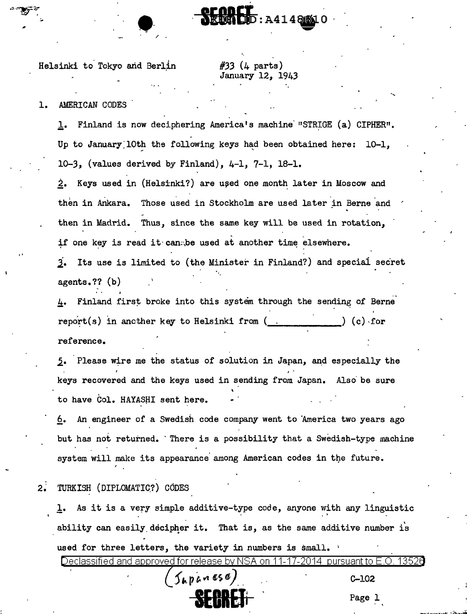Helsinki to Tokyo and Berlin

 $\bullet$ 

#33 (4 parts) January 12, 1943

.....

SEGRET : A4148W10

## 1. AMERICAN CODES

•'

1. Finland is now deciphering America's machine "STRIGE (a) CIPHER". Up to January 10th the following keys had been obtained here:  $10-1$ , 10-3, (values derived by Finland), 4-1, 7-1, 18-1.

2. Keys used in (Helsinki?) are used one month later in Moscow and then in Ankara. Those used in Stockholm are used later in Berne and then in Madrid. Thus, since the same key will be used in rotation, if one key is read it can:, be used at another time elsewhere.

2. Its use is limited to (the Minister in Finland?) and special secret  $agents.??$  (b)

4. Finland first broke into this system through the sending of Berne report(s) in another key to Helsinki from  $($ .  $)$  (c) for reference.

5. Please wire me the status of solution in Japan, and especially the keys recovered and the keys used in sending from Japan. Also· be sure to have Col. HAYASHI sent here.

6. An engineer of a Swedish code company went to America two years ago but has not returned. There is a possibility that a Swedish-type machine system will make its appearance among American codes in the future.

2. TURKISH (DIPLOMATIC?) CODES

1. As it is a very simple additive-type code, anyone with any linguistic ability can easily decipher it. That is, as the same additive number is used for three letters, the variety in numbers is small.

Declassified and approved for release by NSA on 11-17-2014 pursuant to E.O. 13526 f ,.\_ p <sup>~</sup>t>'I f;\$. ft). . C-102 **SECRET**